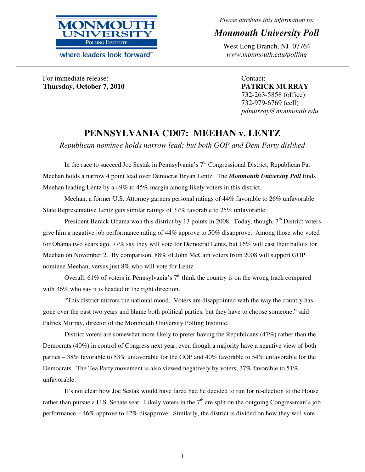

where leaders look forward<sup>\*\*</sup>

*Please attribute this information to:* 

# *Monmouth University Poll*

West Long Branch, NJ 07764 *www.monmouth.edu/polling*

For immediate release: **Thursday, October 7, 2010**  Contact: **PATRICK MURRAY**  732-263-5858 (office) 732-979-6769 (cell) *pdmurray@monmouth.edu* 

# **PENNSYLVANIA CD07: MEEHAN v. LENTZ**

**\_\_\_\_\_\_\_\_\_\_\_\_\_\_\_\_\_\_\_\_\_\_\_\_\_\_\_\_\_\_\_\_\_\_\_\_\_\_\_\_\_\_\_\_\_\_\_\_\_\_\_\_\_\_\_\_\_\_\_\_\_\_\_\_\_\_\_\_\_\_\_\_\_\_\_\_\_\_\_\_\_\_\_\_\_\_\_\_\_\_\_\_\_\_\_\_\_\_\_\_\_\_\_\_\_\_\_\_\_\_\_\_\_\_\_\_\_\_\_\_\_\_\_\_\_\_\_\_\_\_\_\_\_\_\_\_\_\_\_\_\_\_\_\_\_\_\_\_\_\_\_\_\_\_\_\_\_\_\_\_\_\_\_\_\_\_\_\_\_\_\_\_\_\_\_\_\_\_\_\_\_\_\_\_\_\_\_\_\_\_\_\_\_\_\_\_\_\_\_\_\_\_\_\_\_\_\_\_\_\_\_\_\_\_\_\_\_\_\_\_\_\_\_\_\_\_\_\_\_\_\_\_\_\_\_\_\_\_\_\_\_\_\_\_\_\_\_\_\_\_\_\_\_\_\_\_\_\_\_\_\_\_\_\_\_\_\_\_\_\_\_\_\_\_\_\_\_\_\_** 

*Republican nominee holds narrow lead; but both GOP and Dem Party disliked* 

In the race to succeed Joe Sestak in Pennsylvania's  $7<sup>th</sup>$  Congressional District, Republican Pat Meehan holds a narrow 4 point lead over Democrat Bryan Lentz. The *Monmouth University Poll* finds Meehan leading Lentz by a 49% to 45% margin among likely voters in this district.

Meehan, a former U.S. Attorney garners personal ratings of 44% favorable to 26% unfavorable. State Representative Lentz gets similar ratings of 37% favorable to 25% unfavorable.

President Barack Obama won this district by 13 points in 2008. Today, though,  $7<sup>th</sup>$  District voters give him a negative job performance rating of 44% approve to 50% disapprove. Among those who voted for Obama two years ago, 77% say they will vote for Democrat Lentz, but 16% will cast their ballots for Meehan on November 2. By comparison, 88% of John McCain voters from 2008 will support GOP nominee Meehan, versus just 8% who will vote for Lentz.

Overall, 61% of voters in Pennsylvania's  $7<sup>th</sup>$  think the country is on the wrong track compared with 36% who say it is headed in the right direction.

"This district mirrors the national mood. Voters are disappointed with the way the country has gone over the past two years and blame both political parties, but they have to choose someone," said Patrick Murray, director of the Monmouth University Polling Institute.

 District voters are somewhat more likely to prefer having the Republicans (47%) rather than the Democrats (40%) in control of Congress next year, even though a majority have a negative view of both parties – 38% favorable to 53% unfavorable for the GOP and 40% favorable to 54% unfavorable for the Democrats. The Tea Party movement is also viewed negatively by voters, 37% favorable to 51% unfavorable.

 It's not clear how Joe Sestak would have fared had he decided to run for re-election to the House rather than pursue a U.S. Senate seat. Likely voters in the  $7<sup>th</sup>$  are split on the outgoing Congressman's job performance – 46% approve to 42% disapprove. Similarly, the district is divided on how they will vote

1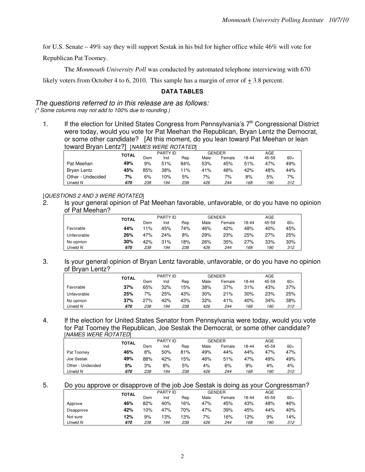for U.S. Senate – 49% say they will support Sestak in his bid for higher office while 46% will vote for

Republican Pat Toomey.

The *Monmouth University Poll* was conducted by automated telephone interviewing with 670

likely voters from October 4 to 6, 2010. This sample has a margin of error of  $\pm$  3.8 percent.

#### **DATA TABLES**

The questions referred to in this release are as follows:

(\* Some columns may not add to 100% due to rounding.)

1. If the election for United States Congress from Pennsylvania's  $7<sup>th</sup>$  Congressional District were today, would you vote for Pat Meehan the Republican, Bryan Lentz the Democrat, or some other candidate? [At this moment, do you lean toward Pat Meehan or lean toward Bryan Lentz?] [NAMES WERE ROTATED]

|                   | TOTAL |     | <b>PARTY ID</b> |     |      | <b>GENDER</b> |       | AGE   |       |
|-------------------|-------|-----|-----------------|-----|------|---------------|-------|-------|-------|
|                   |       | Dem | Ind             | Rep | Male | Female        | 18-44 | 45-59 | $60+$ |
| Pat Meehan        | 49%   | 9%  | 51%             | 84% | 53%  | 45%           | 51%   | 47%   | 49%   |
| Bryan Lentz       | 45%   | 85% | 38%             | 11% | 41%  | 48%           | 42%   | 48%   | 44%   |
| Other - Undecided | 7%    | 6%  | 10%             | 5%  | 7%   | 7%            | 8%    | 5%    | 7%    |
| Unwtd N           | 670   | 238 | 194             | 238 | 426  | 244           | 168   | 190   | 312   |

## [QUESTIONS 2 AND 3 WERE ROTATED]

2. Is your general opinion of Pat Meehan favorable, unfavorable, or do you have no opinion of Pat Meehan?

|             | <b>TOTAL</b> |       | PARTY ID |     |      | GENDER |       | AGE   |       |
|-------------|--------------|-------|----------|-----|------|--------|-------|-------|-------|
|             |              | Dem   | Ind      | Rep | Male | Female | 18-44 | 45-59 | $60+$ |
| Favorable   | 44%          | $1\%$ | 45%      | 74% | 46%  | 42%    | 48%   | 40%   | 45%   |
| Unfavorable | 26%          | 47%   | 24%      | 8%  | 29%  | 23%    | 25%   | 27%   | 25%   |
| No opinion  | 30%          | 42%   | 31%      | 18% | 26%  | 35%    | 27%   | 33%   | 30%   |
| Unwtd N     | 670          | 238   | 194      | 238 | 426  | 244    | 168   | 190   | 312   |

3. Is your general opinion of Bryan Lentz favorable, unfavorable, or do you have no opinion of Bryan Lentz?

|             | TOTAL |     | PARTY ID |     |      | <b>GENDER</b> |       | AGE   |       |
|-------------|-------|-----|----------|-----|------|---------------|-------|-------|-------|
|             |       | Dem | Ind      | Rep | Male | Female        | 18-44 | 45-59 | $60+$ |
| Favorable   | 37%   | 65% | 32%      | 15% | 38%  | 37%           | 31%   | 43%   | 37%   |
| Unfavorable | 25%   | 7%  | 25%      | 43% | 30%  | 21%           | 30%   | 23%   | 25%   |
| No opinion  | 37%   | 27% | 42%      | 43% | 32%  | 41%           | 40%   | 34%   | 38%   |
| Unwtd N     | 670   | 238 | 194      | 238 | 426  | 244           | 168   | 190   | 312   |

4. If the election for United States Senator from Pennsylvania were today, would you vote for Pat Toomey the Republican, Joe Sestak the Democrat, or some other candidate? [NAMES WERE ROTATED]

|                   | TOTAL |     | PARTY ID |     |      | <b>GENDER</b> |       | AGE   |       |  |
|-------------------|-------|-----|----------|-----|------|---------------|-------|-------|-------|--|
|                   |       | Dem | Ind      | Rep | Male | Female        | 18-44 | 45-59 | $60+$ |  |
| Pat Toomey        | 46%   | 8%  | 50%      | 81% | 49%  | 44%           | 44%   | 47%   | 47%   |  |
| Joe Sestak        | 49%   | 88% | 42%      | 15% | 46%  | 51%           | 47%   | 49%   | 49%   |  |
| Other - Undecided | 5%    | 3%  | 8%       | 5%  | 4%   | 6%            | 9%    | 4%    | 4%    |  |
| Unwtd N           | 670   | 238 | 194      | 238 | 426  | 244           | 168   | 190   | 312   |  |
|                   |       |     |          |     |      |               |       |       |       |  |

5. Do you approve or disapprove of the job Joe Sestak is doing as your Congressman?

|            | TOTAL | PARTY ID |     |     |      | GENDER | AGE   |       |       |
|------------|-------|----------|-----|-----|------|--------|-------|-------|-------|
|            |       | Dem      | Ind | Rep | Male | Female | 18-44 | 45-59 | $60+$ |
| Approve    | 46%   | 82%      | 40% | 16% | 47%  | 45%    | 43%   | 48%   | 46%   |
| Disapprove | 42%   | 10%      | 47% | 70% | 47%  | 39%    | 45%   | 44%   | 40%   |
| Not sure   | 12%   | 9%       | 13% | 13% | 7%   | 16%    | 12%   | 9%    | 14%   |
| Unwtd N    | 670   | 238      | 194 | 238 | 426  | 244    | 168   | 190   | 312   |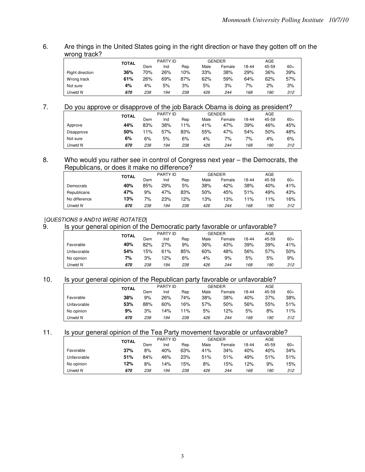## 6. Are things in the United States going in the right direction or have they gotten off on the wrong track?

|                 | <b>TOTAL</b> |     | PARTY ID |     |      | <b>GENDER</b> |       | AGE   |       |
|-----------------|--------------|-----|----------|-----|------|---------------|-------|-------|-------|
|                 |              | Dem | Ind      | Rep | Male | Female        | 18-44 | 45-59 | $60+$ |
| Right direction | 36%          | 70% | 26%      | 10% | 33%  | 38%           | 29%   | 36%   | 39%   |
| Wrong track     | 61%          | 26% | 69%      | 87% | 62%  | 59%           | 64%   | 62%   | 57%   |
| Not sure        | 4%           | 4%  | 5%       | 3%  | 5%   | 3%            | 7%    | 2%    | 3%    |
| Unwtd N         | 670          | 238 | 194      | 238 | 426  | 244           | 168   | 190   | 312   |

# 7. Do you approve or disapprove of the job Barack Obama is doing as president?

|            | <b>TOTAL</b> |     | PARTY ID |     |      | <b>GENDER</b> |       | AGE   |       |
|------------|--------------|-----|----------|-----|------|---------------|-------|-------|-------|
|            |              | Dem | Ind      | Rep | Male | Female        | 18-44 | 45-59 | $60+$ |
| Approve    | 44%          | 83% | 38%      | 11% | 41%  | 47%           | 39%   | 46%   | 45%   |
| Disapprove | 50%          | 11% | 57%      | 83% | 55%  | 47%           | 54%   | 50%   | 48%   |
| Not sure   | 6%           | 6%  | 5%       | 6%  | 4%   | 7%            | 7%    | 4%    | 6%    |
| Unwtd N    | 670          | 238 | 194      | 238 | 426  | 244           | 168   | 190   | 312   |

#### 8. Who would you rather see in control of Congress next year – the Democrats, the Republicans, or does it make no difference?

| .<br>--       |       |     |                 |     |      |               |       |       |       |
|---------------|-------|-----|-----------------|-----|------|---------------|-------|-------|-------|
|               | TOTAL |     | <b>PARTY ID</b> |     |      | <b>GENDER</b> |       | AGE   |       |
|               |       | Dem | Ind             | Rep | Male | Female        | 18-44 | 45-59 | $60+$ |
| Democrats     | 40%   | 85% | 29%             | 5%  | 38%  | 42%           | 38%   | 40%   | 41%   |
| Republicans   | 47%   | 9%  | 47%             | 83% | 50%  | 45%           | 51%   | 49%   | 43%   |
| No difference | 13%   | 7%  | 23%             | 12% | 13%  | 13%           | $1\%$ | $1\%$ | 16%   |
| Unwtd N       | 670   | 238 | 194             | 238 | 426  | 244           | 168   | 190   | 312   |

# [QUESTIONS 9 AND10 WERE ROTATED]<br>9. Similar order than the series of the

#### Is your general opinion of the Democratic party favorable or unfavorable?

|             | <b>TOTAL</b> |     | PARTY ID |     |      | GENDER |       | AGE   |       |
|-------------|--------------|-----|----------|-----|------|--------|-------|-------|-------|
|             |              | Dem | Ind      | Rep | Male | Female | 18-44 | 45-59 | $60+$ |
| Favorable   | 40%          | 82% | 27%      | 9%  | 36%  | 43%    | 39%   | 39%   | 41%   |
| Unfavorable | 54%          | 15% | 61%      | 85% | 60%  | 48%    | 56%   | 57%   | 50%   |
| No opinion  | 7%           | 3%  | 12%      | 6%  | 4%   | 9%     | 5%    | 5%    | 9%    |
| Unwtd N     | 670          | 238 | 194      | 238 | 426  | 244    | 168   | 190   | 312   |

## 10. Is your general opinion of the Republican party favorable or unfavorable?

|             | <b>TOTAL</b> |     | PARTY ID |     |      | <b>GENDER</b> |       | AGE   |       |
|-------------|--------------|-----|----------|-----|------|---------------|-------|-------|-------|
|             |              | Dem | Ind      | Rep | Male | Female        | 18-44 | 45-59 | $60+$ |
| Favorable   | 38%          | 9%  | 26%      | 74% | 38%  | 38%           | 40%   | 37%   | 38%   |
| Unfavorable | 53%          | 88% | 60%      | 16% | 57%  | 50%           | 56%   | 55%   | 51%   |
| No opinion  | 9%           | 3%  | 4% ا     | 11% | 5%   | 12%           | 5%    | 8%    | 11%   |
| Unwtd N     | 670          | 238 | 194      | 238 | 426  | 244           | 168   | 190   | 312   |
|             |              |     |          |     |      |               |       |       |       |

#### 11. Is your general opinion of the Tea Party movement favorable or unfavorable?

|             | <b>TOTAL</b> |     | PARTY ID |     |      | <b>GENDER</b> |       | AGE   |       |
|-------------|--------------|-----|----------|-----|------|---------------|-------|-------|-------|
|             |              | Dem | Ind      | Rep | Male | Female        | 18-44 | 45-59 | $60+$ |
| Favorable   | 37%          | 8%  | 40%      | 63% | 41%  | 34%           | 40%   | 40%   | 34%   |
| Unfavorable | 51%          | 84% | 46%      | 23% | 51%  | 51%           | 49%   | 51%   | 51%   |
| No opinion  | 12%          | 8%  | 14%      | 15% | 8%   | 15%           | 12%   | 9%    | 15%   |
| Unwtd N     | 670          | 238 | 194      | 238 | 426  | 244           | 168   | 190   | 312   |